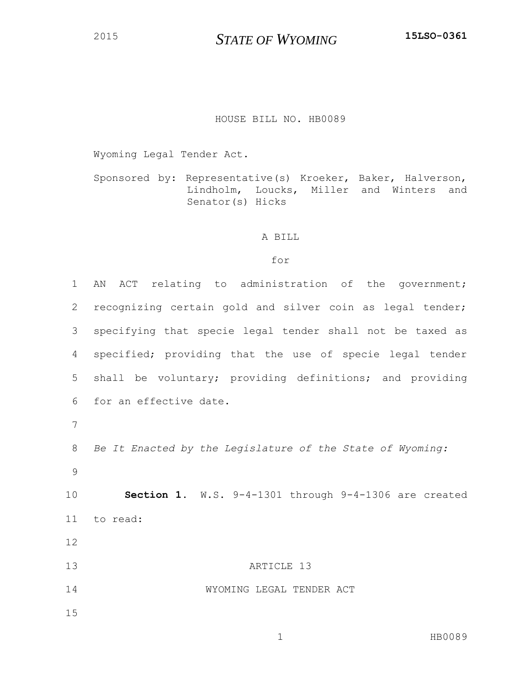*STATE OF WYOMING* **15LSO-0361**

## HOUSE BILL NO. HB0089

Wyoming Legal Tender Act.

Sponsored by: Representative(s) Kroeker, Baker, Halverson, Lindholm, Loucks, Miller and Winters and Senator(s) Hicks

## A BILL

## for

 AN ACT relating to administration of the government; recognizing certain gold and silver coin as legal tender; specifying that specie legal tender shall not be taxed as specified; providing that the use of specie legal tender shall be voluntary; providing definitions; and providing for an effective date. *Be It Enacted by the Legislature of the State of Wyoming:* **Section 1.** W.S. 9-4-1301 through 9-4-1306 are created to read: **ARTICLE** 13 WYOMING LEGAL TENDER ACT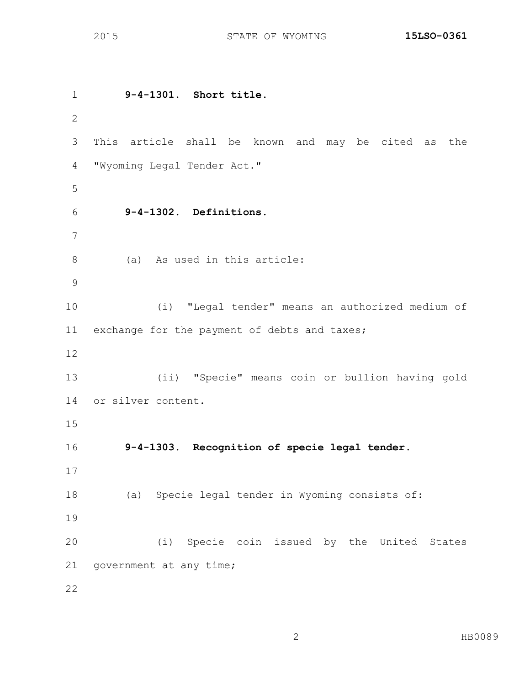**9-4-1301. Short title.** This article shall be known and may be cited as the "Wyoming Legal Tender Act." **9-4-1302. Definitions.** (a) As used in this article: (i) "Legal tender" means an authorized medium of exchange for the payment of debts and taxes; (ii) "Specie" means coin or bullion having gold or silver content. **9-4-1303. Recognition of specie legal tender.** (a) Specie legal tender in Wyoming consists of: (i) Specie coin issued by the United States 21 government at any time;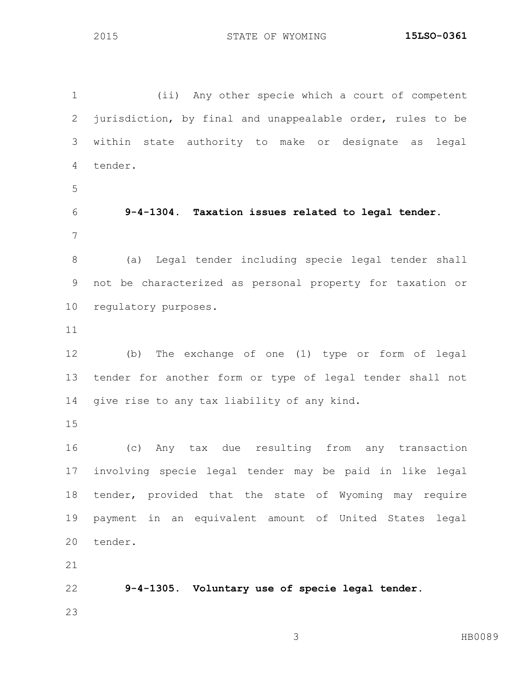(ii) Any other specie which a court of competent jurisdiction, by final and unappealable order, rules to be within state authority to make or designate as legal tender. **9-4-1304. Taxation issues related to legal tender.** (a) Legal tender including specie legal tender shall not be characterized as personal property for taxation or regulatory purposes. (b) The exchange of one (1) type or form of legal tender for another form or type of legal tender shall not give rise to any tax liability of any kind. (c) Any tax due resulting from any transaction involving specie legal tender may be paid in like legal tender, provided that the state of Wyoming may require payment in an equivalent amount of United States legal tender. **9-4-1305. Voluntary use of specie legal tender.**